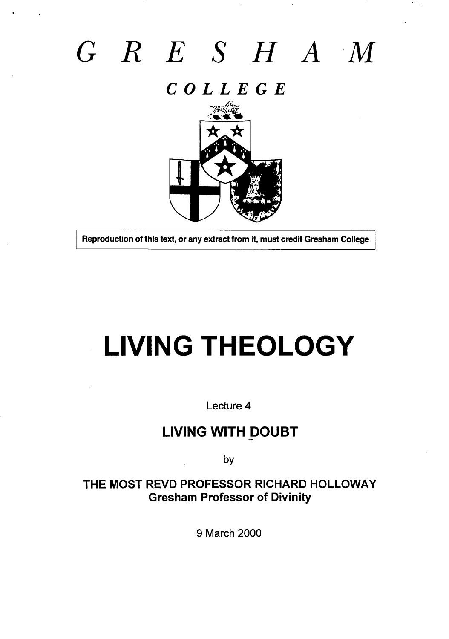## *GRE SHAM*

. ,

I

## *COLLEGE*



**Reproduction of this text, or any extract from it, must credit Gresham College** 

# **LIVING THEOLOGY**

**Lecture 4**

### **LIVING WITH DOUBT**

**by**

**THE MOST REVD PROFESSOR RICHARD HOLLOWAY Gresham Professor of Divinity** 

**9 March 2000**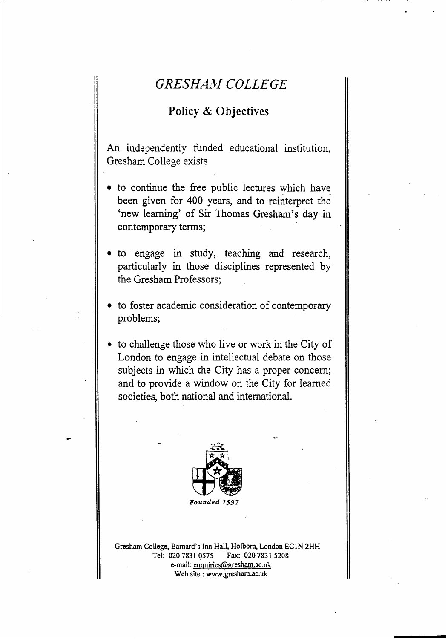#### *GRESHAM COLLEGE*

.

#### Policy & Objectives

An independently funded educational institution, Gresham College exists

- $\bullet$  to continue the free public lectures which have been given for 400 years, and to reinterpret the 'new learning' of Sir Thomas Gresham's day in contemporary terms;
- **to** engage in study, teaching and research, particularly in those disciplines represented by the Gresham Professors;
- $\bullet$ to foster academic consideration of contemporary problems;
- to challenge those who live or work in the City of London to engage in intellectual debate on those subjects in which the City has a proper concern; and to provide a window on the City for learned societies, both national and international.



Gresham College, Barnard's Inn Hall, Holborn, London EC1N 2HH<br>Tel: 020 7831 0575 Fax: 020 7831 5208 Fax: 020 7831 5208 e-mail: enquiries@gresham.ac.uk Web site: www.gresham.ac.uk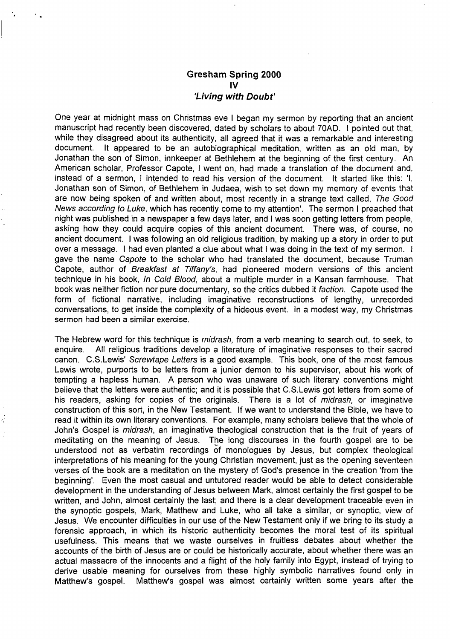#### **Gresham Spring 2000** Iv **'Living with Doubt'**

is the set of  $\mathcal{L}$ 

One year at midnight mass on Christmas eve I began my sermon by reporting that an ancient manuscript had recently been discovered, dated by scholars to about 70AD. I pointed out that, while they disagreed about its authenticity, all agreed that it was a remarkable and interesting document. It appeared to be an autobiographical meditation, written as an old man, by Jonathan the son of Simon, innkeeper at Bethlehem at the beginning of the first century, An American scholar, Professor Capote, I went on, had made a translation of the document and, instead of a sermon, I intended to read his version of the document. It started like this: '1, Jonathan son of Simon, of Bethlehem in Judaea, wish to set down my memory of events that are now being spoken of and written about, most recently in a strange text called, The Good News according to Luke, which has recently come to my attention'. The sermon I preached that night was published in a newspaper a few days later, and I was soon getting letters from people, asking how they could acquire copies of this ancient document. There was, of course, no ancient document. I was following an old religious tradition, by making up a story in order to put over a message. I had even planted a clue about what I was doing in the text of my sermon. I gave the name Capote to the scholar who had translated the document, because Truman Capote, author of Breakfast at Tiffany's, had pioneered modern versions of this ancient technique in his book, *In Cold Blood*, about a multiple murder in a Kansan farmhouse. That book was neither fiction nor pure documentary, so the critics dubbed it faction, Capote used the form of fictional narrative, including imaginative reconstructions of lengthy, unrecorded conversations, to get inside the complexity of a hideous event. In a modest way, my Christmas sermon had been a similar exercise.

The Hebrew word for this technique is *midrash*, from a verb meaning to search out, to seek, to enquire. All religious traditions develop a literature of imaginative responses to their sacred canon. C. S. Lewis' Screwtape Letters is a good example. This book, one of the most famous Lewis wrote, purports to be letters from a junior demon to his supervisor, about his work of tempting a hapless human. A person who was unaware of such literary conventions might believe that the letters were authentic; and it is possible that C.S.Lewis got letters from some of his readers, asking for copies of the originals. There is a lot of *midrash*, or imaginative construction of this sort, in the New Testament. If we want to understand the Bible, we have to read it within its own literary conventions. For example, many scholars believe that the whole of John's Gospel is *midrash*, an imaginative theological construction that is the fruit of years of meditating on the meaning of Jesus. The long discourses in the fourth gospel are to be understood not as verbatim recordings of monologues by Jesus, but complex theological interpretations of his meaning for the young Christian movement, just as the opening seventeen verses of the book are a meditation on the mystery of God's presence in the creation 'from the beginning'. Even the most casual and untutored reader would be able to detect considerable development in the understanding of Jesus between Mark, almost certainly the first gospel to be written, and John, almost certainly the last; and there is a clear development traceable even in the synoptic gospels, Mark, Matthew and Luke, who ail take a similar, or synoptic, view of Jesus. We encounter difficulties in our use of the New Testament only if we bring to its study a forensic approach, in which its historic authenticity becomes the moral test of its spiritual usefulness. This means that we waste ourselves in fruitless debates about whether the accounts of the birth of Jesus are or could be historically accurate, about whether there was an actual massacre of the innocents and a flight of the holy family into Egypt, instead of trying to derive usable meaning for ourselves from these highly symbolic narratives found only in Matthew's gospel. Matthew's gospel was almost certainly written some years after the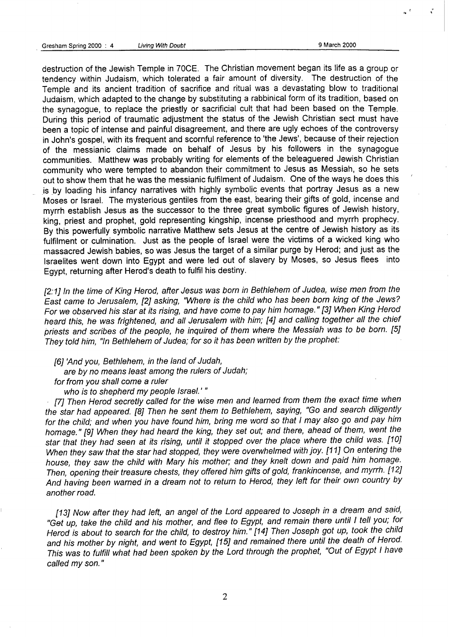#### Gresham Spring 2000: 4

**Living With Doubt** 

 $\mathbf{A} = \begin{bmatrix} 1 & 1 & 1 \\ 1 & 1 & 1 \\ 1 & 1 & 1 \end{bmatrix}$ 

destruction of the Jewish Temple in 70CE. The Christian movement began its life as a group or tendency within Judaism, which tolerated a fair amount of diversity. The destruction of the Temple and its ancient tradition of sacrifice and rituai was a devastating blow to traditional Judaism, which adapted to the change by substituting a rabbinical form of its tradition, based on the synagogue, to replace the priestly or sacrificial cult that had been based on the Temple. During this period of traumatic adjustment the status of the Jewish Christian sect must have been a topic of intense and painful disagreement, and there are ugly echoes of the controversy in John's gospel, with its frequent and scornful reference to 'the Jews', because of their rejection of the messianic claims made on behalf of Jesus by his followers in the synagogue communities. Matthew was probably writing for elements of the beleaguered Jewish Christian community who were tempted to abandon their commitment to Jesus as Messiah, so he sets out to show them that he was the messianic fulfilment of Judaism. One of the ways he does this is by loading his infancy narratives with highly symbolic events that portray Jesus as a new Moses or Israel. The mysterious gentiles from the east, bearing their gifts of gold, incense and myrrh establish Jesus as the successor to the three great symbolic figures of Jewish history, king, priest and prophet, gold representing kingship, incense priesthood and myrrh prophecy. By this powerfully symbolic narrative Matthew sets Jesus at the centre of Jewish history as its fulfilment or culmination. Just as the people of Israel were the victims of a wicked king who massacred Jewish babies, so was Jesus the target of a similar purge by Herod; and just as the Israelites went down into Egypt and were led out of slavery by Moses, so Jesus flees into Egypt, returning after Herod's death to fulfil his destiny.

[2:7] In the time of King Herod, after Jesus was born in Bethlehem of Judea, wise men from the East came to Jerusaiem, [2] asking, "Where is the chiid who has been born king of the Jews? For we observed his star at its rising, and have come to pay him homage. " [3] When King Herod heard this, he was frightened, and all Jerusalem with him; [4] and calling together all the chief priests and scribes of the people, he inquired of them where the Messiah was to be born. [5] They toid him, "in Bethiehem of Judea; for so it has been written by the prophet:

[6] 'And you, Bethlehem, in the land of Judah,

are by no means least among the ruiers of Judah;

for from you shali come a ruier

who is to shepherd my people Israel.'"

[7] Then Herod secretly called for the wise men and learned from them the exact time when the star had appeared. [8] Then he sent them to Bethiehem, saying, *"GO and search diligently* for the child; and when you have found him, bring me word so that I may also go and pay him homage, " [9] When they had heard the king, they set out; and there, ahead of them, went the star that they had seen at its rising, untii it stopped over the piace where the chiid was. [10] When they saw that the star had stopped, they were overwhelmed with joy. [11] On entering the house, they saw the chiid with Mary his mother; and they kneit down and paid him homage. Then, opening their treasure chests, they offered him gifts of gold, frankincense, and myrrh. [12] And having been warned in a dream not to return to Herod, they ieft for their own country by another road.

[13] Now after they had left, an angel of the Lord appeared to Joseph in a dream and said, "Get up, take the child and his mother, and flee to Egypt, and remain there until I tell you; for Herod is about to search for the chiid, to destroy him. " f14] Then Joseph got up, took the chiid and his mother by night, and went to Egypt, [15] and remained there until the death of Herod. This was to fuifiii what had been spoken by the Lord through the prophet, "Out of Egypt i have called my son."

2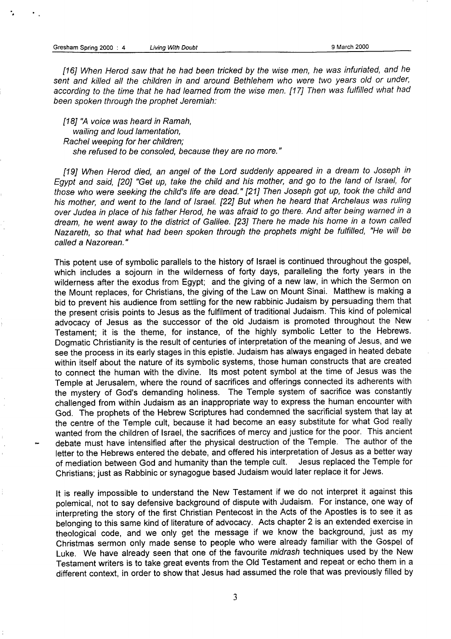[76] When Herod saw that he had been tricked by the wise men, he was infuriated, and he sent and killed all the children in and around Bethlehem who were two years old or under, according to the time that he had learned from the wise men. [17] Then was fulfilled what had been spoken through the prophet Jeremiah:

[18] "A voice was heard in Ramah, wailing and loud lamentation, Rachel weeping for her children; she refused to be consoled, because they are no more."

[19] When Herod died, an angel of the Lord suddenly appeared in a dream to Joseph in Egypt and said, [20] "Get up, take the child and his mother, and go to the land of Israel, for those who were seeking the child's life are dead." [21] Then Joseph got up, took the child and his mother, and went to the land of Israel. [22] But when he heard that Archelaus was ruling over Judea in place of his father Herod, he was afraid to go there. And after being warned in a dream, he went away to the district of Galilee. [23] There he made his home in a town called Nazareth, so that what had been spoken through the prophets might be fulfilled, "He will be called a Nazorean. "

This potent use of symbolic parallels to the history of Israel is continued throughout the gospel, which includes a sojourn in the wilderness of forty days, paralleling the forty years in the wilderness after the exodus from Egypt; and the giving of a new law, in which the Sermon on the Mount replaces, for Christians, the giving of the Law on Mount Sinai. Matthew is making a bid to prevent his audience from settling for the new rabbinic Judaism by persuading them that the present crisis points to Jesus as the fulfilment of traditional Judaism. This kind of polemical advocacy of Jesus as the successor of the old Judaism is promoted throughout the New Testament; it is the theme, for instance, of the highly symbolic Letter to the Hebrews. Dogmatic Christianity is the result of centuries of interpretation of the meaning of Jesus, and we see the process in its early stages in this epistle. Judaism has always engaged in heated debate within itself about the nature of its symbolic systems, those human constructs that are created to connect the human with the divine. Its most potent symbol at the time of Jesus was the Temple at Jerusalem, where the round of sacrifices and offerings connected its adherents with the mystery of God's demanding holiness. The Temple system of sacrifice was constantly challenged from within Judaism as an inappropriate way to express the human encounter with God. The prophets of the Hebrew Scriptures had condemned the sacrificial system that lay at the centre of the Temple cult, because it had become an easy substitute for what God really wanted from the children of Israel, the sacrifices of mercy and justice for the poor. This ancient debate must have intensified after the physical destruction of the Temple. The author of the letter to the Hebrews entered the debate, and offered his interpretation of Jesus as a better way<br>of mediation between God and humanity than the temple cult. Jesus replaced the Temple for of mediation between God and humanity than the temple cult. Christians; just as Rabbinic or synagogue based Judaism would later replace it for Jews.

it is really impossible to understand the New Testament if we do not interpret it against this polemical, not to say defensive background of dispute with Judaism. For instance, one way of interpreting the story of the first Christian Pentecost in the Acts of the Apostles is to see it as belonging to this same kind of literature of advocacy. Acts chapter 2 is an extended exercise in theological code, and we only get the message if we know the background, just as my Christmas sermon only made sense to people who were already familiar with the Gospel of Luke. We have already seen that one of the favourite midrash techniques used by the New Testament writers is to take great events from the Old Testament and repeat or echo them in a different context, in order to show that Jesus had assumed the role that was previously filled by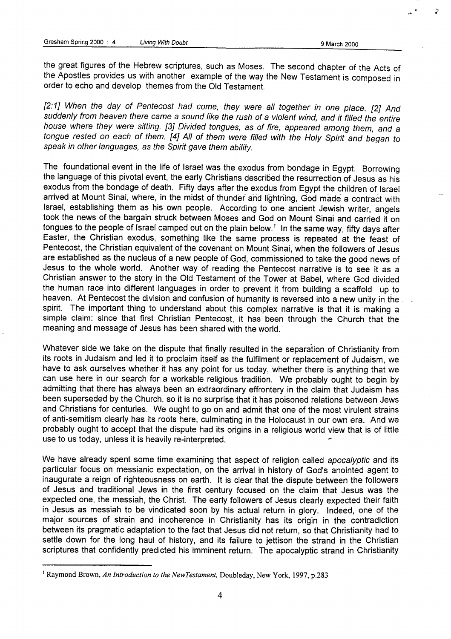the great figures of the Hebrew scriptures, such as Moses. The second chapter of the Acts of the Apostles provides us with another example of the way the New Testament is composed in order to echo and develop themes from the Old Testament.

[2:1] When the day of Pentecost had come, they were all together in one place. [2] *And* suddenly from heaven there came a sound like the rush of a violent wind, and it filled the entire house where they were sitting. [3] Divided tongues, as of fire, appeared among them, and a tongue rested on each of them. [4] All of them were filled with the Holy Spirit and began to speak in other languages, as the Spirit gave them ability.

The foundational event in the life of Israel was the exodus from bondage in Egypt. Borrowing the language of this pivotal event, the early Christians described the resurrection of Jesus as his exodus from the bondage of death. Fifty days after the exodus from Egypt the children of Israel arrived at Mount Sinai, where, in the midst of thunder and lightning, God made a contract with Israel, establishing them as his own people. According to one ancient Jewish writer, angels took the news of the bargain struck between Moses and God on Mount Sinai and carried it on tongues to the people of Israel camped out on the plain below.<sup>1</sup> In the same way, fifty days after Easter, the Christian exodus, something like the same process is repeated at the feast of Pentecost, the Christian equivalent of the covenant on Mount Sinai, when the followers of Jesus are established as the nucleus of a new people of God, commissioned to take the good news of Jesus to the whole world. Another way of reading the Pentecost narrative is to see it as a Christian answer to the story in the Old Testament of the Tower at Babel, where God divided the human race into different languages in order to prevent it from building a scaffold up to heaven. At Pentecost the division and confusion of humanity is reversed into a new unity in the spirit. The important thing to understand about this complex narrative is that it is making a simple claim: since that first Christian Pentecost, it has been through the Church that the meaning and message of Jesus has been shared with the world.

Whatever side we take on the dispute that finally resulted in the separation of Christianity from its roots in Judaism and led it to proclaim itself as the fulfilment or replacement of Judaism, we have to ask ourselves whether it has any point for us today, whether there is anything that we can use here in our search for a workable religious tradition. We probably ought to begin by admitting that there has always been an extraordinary effrontery in the claim that Judaism has been superseded by the Church, so it is no surprise that it has poisoned relations between Jews and Christians for centuries. We ought to go on and admit that one of the most virulent strains of anti-semitism clearly has its roots here, culminating in the Holocaust in our own era. And we probably ought to accept that the dispute had its origins in a religious world view that is of little use to us today, unless it is heavily re-interpreted.

We have already spent some time examining that aspect of religion called apocalyptic and its particular focus on messianic expectation, on the arrival in history of God's anointed agent to inaugurate a reign of righteousness on earth. It is clear that the dispute between the followers of Jesus and traditional Jews in the first century focused on the claim that Jesus was the expected one, the messiah, the Christ. The early followers of Jesus clearly expected their faith in Jesus as messiah to be vindicated soon by his actual return in glory. Indeed, one of the major sources of strain and incoherence in Christianity has its origin in the contradiction between its pragmatic adaptation to the fact that Jesus did not return, so that Christianity had to settle down for the long haul of history, and its failure to jettison the strand in the Christian scriptures that confidently predicted his imminent return. The apocalyptic strand in Christianity

<sup>&</sup>lt;sup>1</sup> Raymond Brown, An Introduction to the NewTestament, Doubleday, New York, 1997, p.283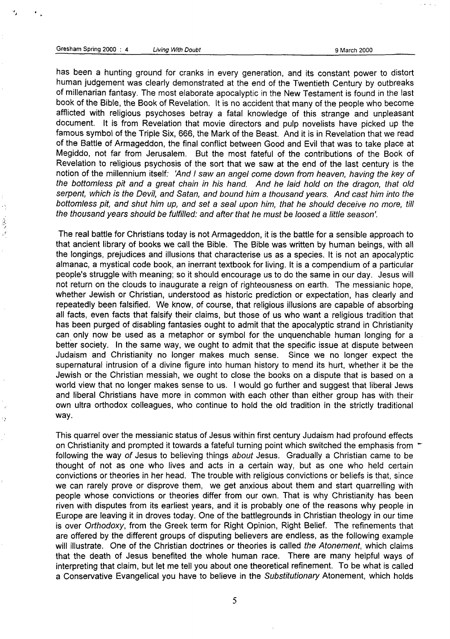,, A

\* .

has been a hunting ground for cranks in every generation, and its constant power to distort human judgement was clearly demonstrated at the end of the Twentieth Century by outbreaks of millenarian fantasy. The most elaborate apocalyptic in the New Testament is found in the last book of the Bible, the Book of Revelation. It is no accident that many of the people who become afflicted with religious psychoses betray a fatal knowledge of this strange and unpleasant document. It is from Revelation that movie directors and pulp novelists have picked up the famous symbol of the Triple Six, 666, the Mark of the Beast. And it is in Revelation that we read of the Battle of Armageddon, the final conflict between Good and Evil that was to take place at Megiddo, not far from Jerusalem. But the most fateful of the contributions of the Book of Revelation to religious psychosis of the sort that we saw at the end of the last century is the notion of the millennium itself: *'And / saw an ange/ Come down* from heaven, having the key of the bottomless pit and a great chain in his hand. And he laid hold on the dragon, that old serpent, which is the Devil, and Satan, and bound him a thousand years. And cast him into the bottomless pit, and shut him up, and set a seal upon him, that he should deceive no more, till the thousand years should be fulfilled: and after that he must be loosed a little season'.

The real battle for Christians today is not Armageddon, it is the battle for a sensible approach to that ancient library of books we call the Bible. The Bible was written by human beings, with all the longings, prejudices and illusions that characterise us as a species. It is not an apocalyptic almanac, a mystical code book, an inerrant textbook for living. It is a compendium of a particular people's struggle with meaning; so it should encourage us to do the same in our day. Jesus will not return on the clouds to inaugurate a reign of righteousness on earth. The messianic hope, whether Jewish or Christian, understood as historic prediction or expectation, has clearly and repeatedly been falsified. We know, of course, that religious illusions are capable of absorbing all facts, even facts that falsify their claims, but those of us who want a religious tradition that has been purged of disabling fantasies ought to admit that the apocalyptic strand in Christianity can only now be used as a metaphor or symbol for the unquenchable human longing for a better society. In the same way, we ought to admit that the specific issue at dispute between Judaism and Christianity no longer makes much sense. Since we no longer expect the supernatural intrusion of a divine figure into human history to mend its hurt, whether it be the Jewish or the Christian messiah, we ought to close the books on a dispute that is based on a world view that no longer makes sense to us. I would go further and suggest that liberal Jews and liberal Christians have more in common with each other than either group has with their own ultra orthodox colleagues, who continue to hold the old tradition in the strictly traditional way.

This quarrel over the messianic status of Jesus within first century Judaism had profound effects on Christianity and prompted it towards a fateful turning point which switched the emphasis from  $\tau$ following the way of Jesus to believing things about Jesus. Gradually a Christian came to be thought of not as one who lives and acts in a certain way, but as one who held certain convictions or theories in her head. The trouble with religious convictions or beliefs is that, since we can rarely prove or disprove them, we get anxious about them and start quarreling with people whose convictions or theories differ from our own. That is why Christianity has been riven with disputes from its earliest years, and it is probably one of the reasons why people in Europe are leaving it in droves today. One of the battlegrounds in Christian theology in our time is over Orthodoxy, from the Greek term for Right Opinion, Right Belief. The refinements that are offered by the different groups of disputing believers are endless, as the following example will illustrate. One of the Christian doctrines or theories is called the Atonement, which claims that the death of Jesus benefited the whole human race. There are many helpful ways of interpreting that claim, but let me tell you about one theoretical refinement. To be what is called a Conservative Evangelical you have to believe in the Substitutionary Atonement, which holds

5